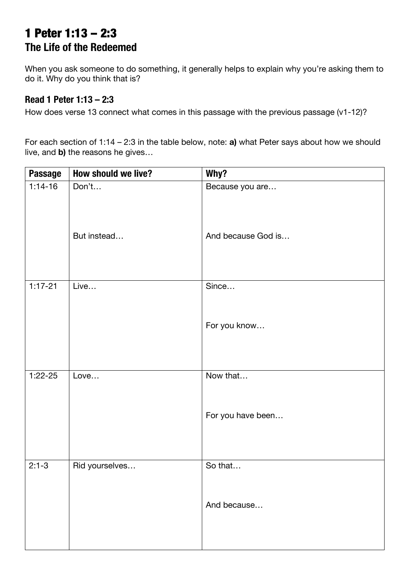## 1 Peter 1:13 – 2:3 **The Life of the Redeemed**

When you ask someone to do something, it generally helps to explain why you're asking them to do it. Why do you think that is?

## **Read 1 Peter 1:13 – 2:3**

How does verse 13 connect what comes in this passage with the previous passage (v1-12)?

For each section of 1:14 – 2:3 in the table below, note: **a)** what Peter says about how we should live, and **b)** the reasons he gives…

| <b>Passage</b> | How should we live? | Why?               |
|----------------|---------------------|--------------------|
| $1:14-16$      | Don't               | Because you are    |
|                | But instead         | And because God is |
| $1:17 - 21$    | Live                | Since              |
|                |                     | For you know       |
| $1:22 - 25$    | Love                | Now that           |
|                |                     | For you have been  |
| $2:1-3$        | Rid yourselves      | So that            |
|                |                     | And because        |